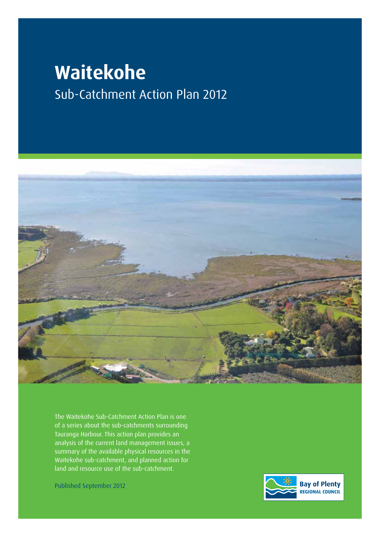# **Waitekohe** Sub-Catchment Action Plan 2012



The Waitekohe Sub-Catchment Action Plan is one of a series about the sub-catchments surrounding Tauranga Harbour. This action plan provides an analysis of the current land management issues, a summary of the available physical resources in the Waitekohe sub-catchment, and planned action for land and resource use of the sub-catchment.

Published September 2012

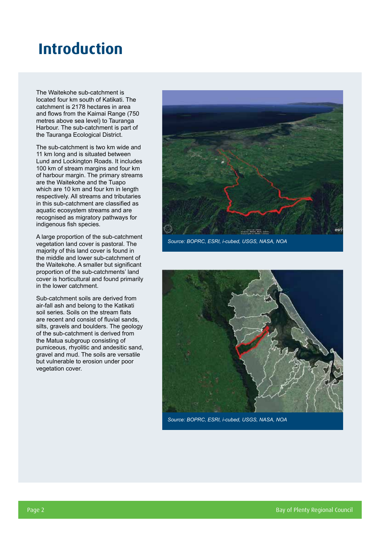### **Introduction**

The Waitekohe sub-catchment is located four km south of Katikati. The catchment is 2178 hectares in area and flows from the Kaimai Range (750 metres above sea level) to Tauranga Harbour. The sub-catchment is part of the Tauranga Ecological District.

The sub-catchment is two km wide and 11 km long and is situated between Lund and Lockington Roads. It includes 100 km of stream margins and four km of harbour margin. The primary streams are the Waitekohe and the Tuapo which are 10 km and four km in length respectively. All streams and tributaries in this sub-catchment are classified as aquatic ecosystem streams and are recognised as migratory pathways for indigenous fish species.

A large proportion of the sub-catchment vegetation land cover is pastoral. The majority of this land cover is found in the middle and lower sub-catchment of the Waitekohe. A smaller but significant proportion of the sub-catchments' land cover is horticultural and found primarily in the lower catchment.

Sub-catchment soils are derived from air-fall ash and belong to the Katikati soil series. Soils on the stream flats are recent and consist of fluvial sands, silts, gravels and boulders. The geology of the sub-catchment is derived from the Matua subgroup consisting of pumiceous, rhyolitic and andesitic sand, gravel and mud. The soils are versatile but vulnerable to erosion under poor vegetation cover.



*Source: BOPRC, ESRI, i-cubed, USGS, NASA, NOA*



*Source: BOPRC, ESRI, i-cubed, USGS, NASA, NOA*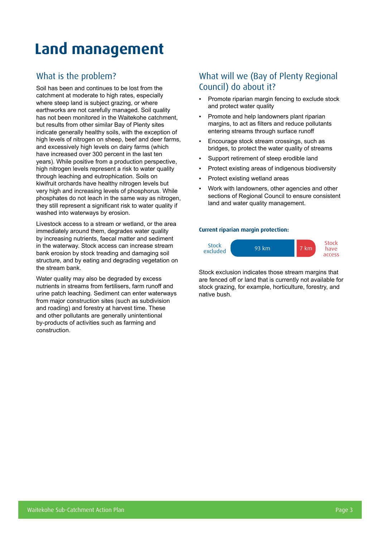## **Land management**

### What is the problem?

Soil has been and continues to be lost from the catchment at moderate to high rates, especially where steep land is subject grazing, or where earthworks are not carefully managed. Soil quality has not been monitored in the Waitekohe catchment, but results from other similar Bay of Plenty sites indicate generally healthy soils, with the exception of high levels of nitrogen on sheep, beef and deer farms, and excessively high levels on dairy farms (which have increased over 300 percent in the last ten years). While positive from a production perspective, high nitrogen levels represent a risk to water quality through leaching and eutrophication. Soils on kiwifruit orchards have healthy nitrogen levels but very high and increasing levels of phosphorus. While phosphates do not leach in the same way as nitrogen, they still represent a significant risk to water quality if washed into waterways by erosion.

Livestock access to a stream or wetland, or the area immediately around them, degrades water quality by increasing nutrients, faecal matter and sediment in the waterway. Stock access can increase stream bank erosion by stock treading and damaging soil structure, and by eating and degrading vegetation on the stream bank.

Water quality may also be degraded by excess nutrients in streams from fertilisers, farm runoff and urine patch leaching. Sediment can enter waterways from major construction sites (such as subdivision and roading) and forestry at harvest time. These and other pollutants are generally unintentional by-products of activities such as farming and construction.

### What will we (Bay of Plenty Regional Council) do about it?

- Promote riparian margin fencing to exclude stock and protect water quality
- Promote and help landowners plant riparian margins, to act as filters and reduce pollutants entering streams through surface runoff
- Encourage stock stream crossings, such as bridges, to protect the water quality of streams
- Support retirement of steep erodible land
- Protect existing areas of indigenous biodiversity
- Protect existing wetland areas
- Work with landowners, other agencies and other sections of Regional Council to ensure consistent land and water quality management.

#### **Current riparian margin protection:**



Stock exclusion indicates those stream margins that are fenced off or land that is currently not available for stock grazing, for example, horticulture, forestry, and native bush.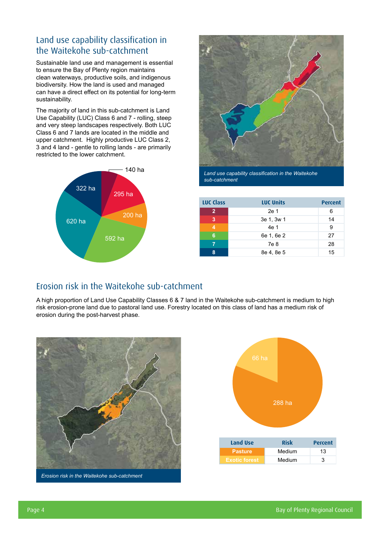### Land use capability classification in the Waitekohe sub-catchment

Sustainable land use and management is essential to ensure the Bay of Plenty region maintains clean waterways, productive soils, and indigenous biodiversity. How the land is used and managed can have a direct effect on its potential for long-term sustainability.

The majority of land in this sub-catchment is Land Use Capability (LUC) Class 6 and 7 - rolling, steep and very steep landscapes respectively. Both LUC Class 6 and 7 lands are located in the middle and upper catchment. Highly productive LUC Class 2, 3 and 4 land - gentle to rolling lands - are primarily restricted to the lower catchment.





*Land use capability classification in the Waitekohe sub-catchment*

| <b>LUC Class</b> | <b>LUC Units</b> | <b>Percent</b> |
|------------------|------------------|----------------|
| $\mathbf{2}$     | 2e 1             | 6              |
| 3                | 3e 1, 3w 1       | 14             |
| 4                | 4e 1             | 9              |
| 6                | 6e 1, 6e 2       | 27             |
|                  | 7e 8             | 28             |
| 8                | 8e 4, 8e 5       | 15             |

### Erosion risk in the Waitekohe sub-catchment

A high proportion of Land Use Capability Classes 6 & 7 land in the Waitekohe sub-catchment is medium to high risk erosion-prone land due to pastoral land use. Forestry located on this class of land has a medium risk of erosion during the post-harvest phase.



*Erosion risk in the Waitekohe sub-catchment*

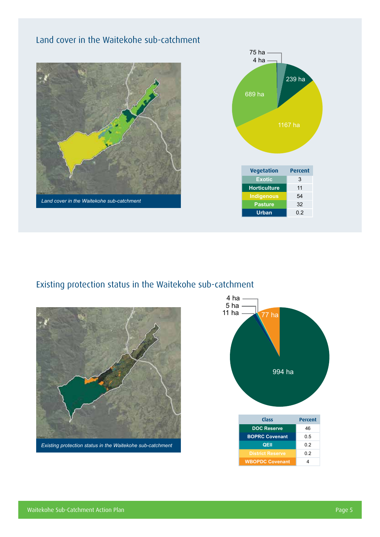

### Land cover in the Waitekohe sub-catchment

### Existing protection status in the Waitekohe sub-catchment



*Existing protection status in the Waitekohe sub-catchment*

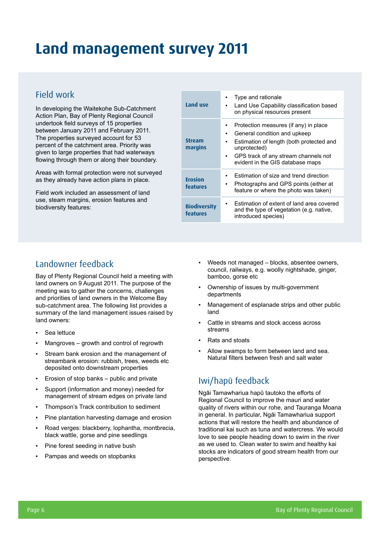### **Land management survey 2011**

#### Field work

In developing the Waitekohe Sub-Catchment Action Plan, Bay of Plenty Regional Council undertook field surveys of 15 properties between January 2011 and February 2011. The properties surveyed account for 53 percent of the catchment area. Priority was given to large properties that had waterways flowing through them or along their boundary.

Areas with formal protection were not surveyed as they already have action plans in place.

Field work included an assessment of land use, steam margins, erosion features and biodiversity features:

| Land use                        | Type and rationale<br>Land Use Capability classification based<br>on physical resources present                                                                                                                     |
|---------------------------------|---------------------------------------------------------------------------------------------------------------------------------------------------------------------------------------------------------------------|
| <b>Stream</b><br>margins        | Protection measures (if any) in place<br>General condition and upkeep<br>Estimation of length (both protected and<br>unprotected)<br>GPS track of any stream channels not<br>٠.<br>evident in the GIS database maps |
| <b>Erosion</b><br>features      | Estimation of size and trend direction<br>Photographs and GPS points (either at<br>feature or where the photo was taken)                                                                                            |
| <b>Biodiversity</b><br>features | Estimation of extent of land area covered<br>and the type of vegetation (e.g. native,<br>introduced species)                                                                                                        |

### Landowner feedback

Bay of Plenty Regional Council held a meeting with land owners on 9 August 2011. The purpose of the meeting was to gather the concerns, challenges and priorities of land owners in the Welcome Bay sub-catchment area. The following list provides a summary of the land management issues raised by land owners:

- Sea lettuce
- Mangroves growth and control of regrowth
- Stream bank erosion and the management of streambank erosion: rubbish, trees, weeds etc deposited onto downstream properties
- Erosion of stop banks public and private
- Support (information and money) needed for management of stream edges on private land
- Thompson's Track contribution to sediment
- Pine plantation harvesting damage and erosion
- Road verges: blackberry, lophantha, montbrecia, black wattle, gorse and pine seedlings
- Pine forest seeding in native bush
- Pampas and weeds on stopbanks
- Weeds not managed blocks, absentee owners, council, railways, e.g. woolly nightshade, ginger, bamboo, gorse etc
- Ownership of issues by multi-government departments
- Management of esplanade strips and other public land
- Cattle in streams and stock access across streams
- Rats and stoats
- Allow swamps to form between land and sea. Natural filters between fresh and salt water

### Iwi/hapū feedback

Ngāi Tamawhariua hapū tautoko the efforts of Regional Council to improve the mauri and water quality of rivers within our rohe, and Tauranga Moana in general. In particular, Ngāi Tamawhariua support actions that will restore the health and abundance of traditional kai such as tuna and watercress. We would love to see people heading down to swim in the river as we used to. Clean water to swim and healthy kai stocks are indicators of good stream health from our perspective.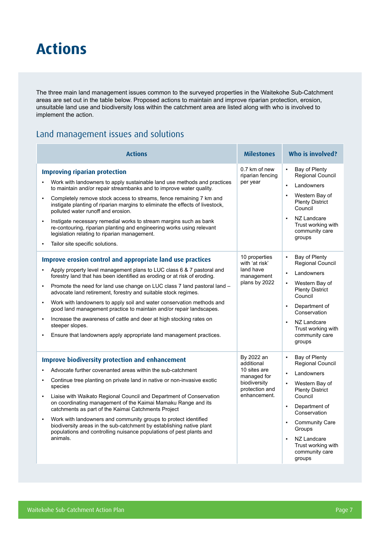### **Actions**

The three main land management issues common to the surveyed properties in the Waitekohe Sub-Catchment areas are set out in the table below. Proposed actions to maintain and improve riparian protection, erosion, unsuitable land use and biodiversity loss within the catchment area are listed along with who is involved to implement the action.

#### Land management issues and solutions

| <b>Actions</b>                                                                                                                                                                                                                                                                                                                                                                                                                                                                                                                                                                                                                                                                                                                            | <b>Milestones</b>                                                                                         | Who is involved?                                                                                                                                                                                                                                                                                                                      |  |  |
|-------------------------------------------------------------------------------------------------------------------------------------------------------------------------------------------------------------------------------------------------------------------------------------------------------------------------------------------------------------------------------------------------------------------------------------------------------------------------------------------------------------------------------------------------------------------------------------------------------------------------------------------------------------------------------------------------------------------------------------------|-----------------------------------------------------------------------------------------------------------|---------------------------------------------------------------------------------------------------------------------------------------------------------------------------------------------------------------------------------------------------------------------------------------------------------------------------------------|--|--|
| <b>Improving riparian protection</b><br>Work with landowners to apply sustainable land use methods and practices<br>$\blacksquare$<br>to maintain and/or repair streambanks and to improve water quality.<br>Completely remove stock access to streams, fence remaining 7 km and<br>$\blacksquare$<br>instigate planting of riparian margins to eliminate the effects of livestock,<br>polluted water runoff and erosion.<br>Instigate necessary remedial works to stream margins such as bank<br>$\blacksquare$<br>re-contouring, riparian planting and engineering works using relevant<br>legislation relating to riparian management.<br>Tailor site specific solutions.                                                              | 0.7 km of new<br>riparian fencing<br>per year                                                             | $\blacksquare$<br>Bay of Plenty<br>Regional Council<br>Landowners<br>$\blacksquare$<br>Western Bay of<br>$\blacksquare$<br><b>Plenty District</b><br>Council<br>NZ Landcare<br>$\blacksquare$<br>Trust working with<br>community care<br>groups                                                                                       |  |  |
| Improve erosion control and appropriate land use practices<br>Apply property level management plans to LUC class 6 & 7 pastoral and<br>forestry land that has been identified as eroding or at risk of eroding.<br>Promote the need for land use change on LUC class 7 land pastoral land -<br>$\blacksquare$<br>advocate land retirement, forestry and suitable stock regimes.<br>Work with landowners to apply soil and water conservation methods and<br>$\blacksquare$<br>good land management practice to maintain and/or repair landscapes.<br>Increase the awareness of cattle and deer at high stocking rates on<br>٠<br>steeper slopes.<br>Ensure that landowners apply appropriate land management practices.<br>$\blacksquare$ | 10 properties<br>with 'at risk'<br>land have<br>management<br>plans by 2022                               | Bay of Plenty<br>$\blacksquare$<br>Regional Council<br>Landowners<br>$\blacksquare$<br>Western Bay of<br>$\blacksquare$<br><b>Plenty District</b><br>Council<br>Department of<br>$\blacksquare$<br>Conservation<br>NZ Landcare<br>$\blacksquare$<br>Trust working with<br>community care<br>groups                                    |  |  |
| <b>Improve biodiversity protection and enhancement</b><br>Advocate further covenanted areas within the sub-catchment<br>Continue tree planting on private land in native or non-invasive exotic<br>$\blacksquare$<br>species<br>Liaise with Waikato Regional Council and Department of Conservation<br>$\blacksquare$<br>on coordinating management of the Kaimai Mamaku Range and its<br>catchments as part of the Kaimai Catchments Project<br>Work with landowners and community groups to protect identified<br>$\blacksquare$<br>biodiversity areas in the sub-catchment by establishing native plant<br>populations and controlling nuisance populations of pest plants and<br>animals.                                             | By 2022 an<br>additional<br>10 sites are<br>managed for<br>biodiversity<br>protection and<br>enhancement. | Bay of Plenty<br>$\blacksquare$<br>Regional Council<br>$\blacksquare$<br>Landowners<br>Western Bay of<br><b>Plenty District</b><br>Council<br>Department of<br>$\blacksquare$<br>Conservation<br><b>Community Care</b><br>$\blacksquare$<br>Groups<br>NZ Landcare<br>$\blacksquare$<br>Trust working with<br>community care<br>groups |  |  |